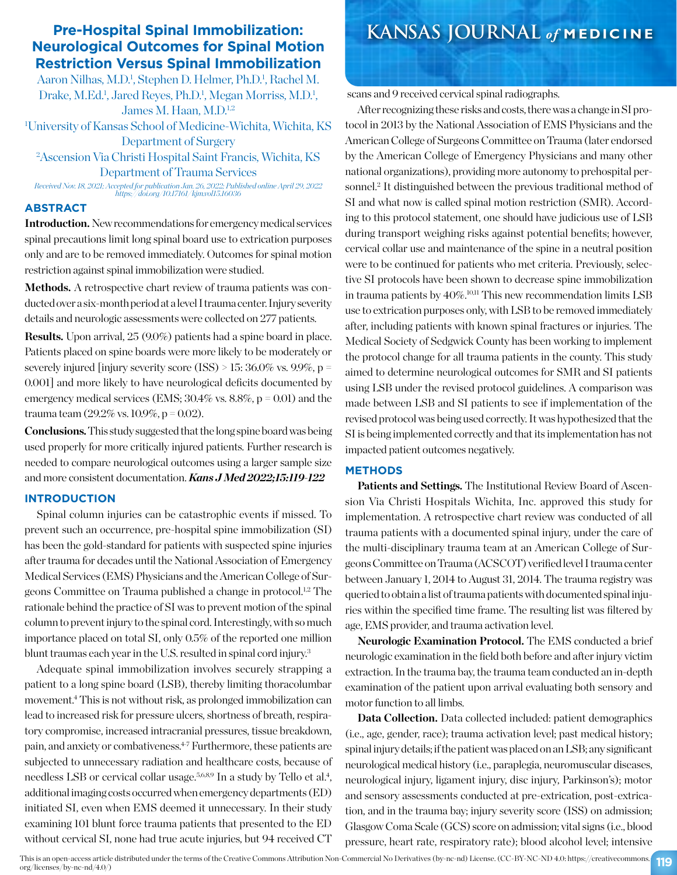# **Neurological Outcomes for Spinal Motion Restriction Versus Spinal Immobilization**

Aaron Nilhas, M.D.<sup>1</sup>, Stephen D. Helmer, Ph.D.<sup>1</sup>, Rachel M. Drake, M.Ed.<sup>1</sup>, Jared Reyes, Ph.D.<sup>1</sup>, Megan Morriss, M.D.<sup>1</sup>, James M. Haan, M.D.<sup>1,2</sup>

1 University of Kansas School of Medicine-Wichita, Wichita, KS Department of Surgery

## 2 Ascension Via Christi Hospital Saint Francis, Wichita, KS Department of Trauma Services

*Received Nov. 18, 2021; Accepted for publication Jan. 26, 2022; Published online April 29, 2022 https://doi.org/10.17161/kjm.vol15.16036*

## **ABSTRACT**

**Introduction.** New recommendations for emergency medical services spinal precautions limit long spinal board use to extrication purposes only and are to be removed immediately. Outcomes for spinal motion restriction against spinal immobilization were studied.

Methods. A retrospective chart review of trauma patients was conducted over a six-month period at a level I trauma center. Injury severity details and neurologic assessments were collected on 277 patients.

**Results.** Upon arrival, 25 (9.0%) patients had a spine board in place. Patients placed on spine boards were more likely to be moderately or severely injured [injury severity score (ISS)  $> 15:36.0\%$  vs. 9.9%, p = 0.001] and more likely to have neurological deficits documented by emergency medical services (EMS;  $30.4\%$  vs.  $8.8\%$ ,  $p = 0.01$ ) and the trauma team  $(29.2\% \text{ vs. } 10.9\%, \text{ p} = 0.02)$ .

**Conclusions.**This study suggested that the long spine board was being used properly for more critically injured patients. Further research is needed to compare neurological outcomes using a larger sample size and more consistent documentation. *Kans J Med 2022;15:119-122*

## **INTRODUCTION**

Spinal column injuries can be catastrophic events if missed. To prevent such an occurrence, pre-hospital spine immobilization (SI) has been the gold-standard for patients with suspected spine injuries after trauma for decades until the National Association of Emergency Medical Services (EMS) Physicians and the American College of Surgeons Committee on Trauma published a change in protocol.1,2 The rationale behind the practice of SI was to prevent motion of the spinal column to prevent injury to the spinal cord. Interestingly, with so much importance placed on total SI, only 0.5% of the reported one million blunt traumas each year in the U.S. resulted in spinal cord injury.3

Adequate spinal immobilization involves securely strapping a patient to a long spine board (LSB), thereby limiting thoracolumbar movement.4 This is not without risk, as prolonged immobilization can lead to increased risk for pressure ulcers, shortness of breath, respiratory compromise, increased intracranial pressures, tissue breakdown, pain, and anxiety or combativeness.4-7 Furthermore, these patients are subjected to unnecessary radiation and healthcare costs, because of needless LSB or cervical collar usage.<sup>5,6,8,9</sup> In a study by Tello et al.<sup>4</sup>, additional imaging costs occurred when emergency departments (ED) initiated SI, even when EMS deemed it unnecessary. In their study examining 101 blunt force trauma patients that presented to the ED without cervical SI, none had true acute injuries, but 94 received CT

## **Pre-Hospital Spinal Immobilization: KANSAS JOURNAL** *of* **MEDICINE**

scans and 9 received cervical spinal radiographs.

After recognizing these risks and costs, there was a change in SI protocol in 2013 by the National Association of EMS Physicians and the American College of Surgeons Committee on Trauma (later endorsed by the American College of Emergency Physicians and many other national organizations), providing more autonomy to prehospital personnel.<sup>2</sup> It distinguished between the previous traditional method of SI and what now is called spinal motion restriction (SMR). According to this protocol statement, one should have judicious use of LSB during transport weighing risks against potential benefits; however, cervical collar use and maintenance of the spine in a neutral position were to be continued for patients who met criteria. Previously, selective SI protocols have been shown to decrease spine immobilization in trauma patients by 40%.10,11 This new recommendation limits LSB use to extrication purposes only, with LSB to be removed immediately after, including patients with known spinal fractures or injuries. The Medical Society of Sedgwick County has been working to implement the protocol change for all trauma patients in the county. This study aimed to determine neurological outcomes for SMR and SI patients using LSB under the revised protocol guidelines. A comparison was made between LSB and SI patients to see if implementation of the revised protocol was being used correctly. It was hypothesized that the SI is being implemented correctly and that its implementation has not impacted patient outcomes negatively.

## **METHODS**

**Patients and Settings.** The Institutional Review Board of Ascension Via Christi Hospitals Wichita, Inc. approved this study for implementation. A retrospective chart review was conducted of all trauma patients with a documented spinal injury, under the care of the multi-disciplinary trauma team at an American College of Surgeons Committee on Trauma (ACSCOT) verified level I trauma center between January 1, 2014 to August 31, 2014. The trauma registry was queried to obtain a list of trauma patients with documented spinal injuries within the specified time frame. The resulting list was filtered by age, EMS provider, and trauma activation level.

**Neurologic Examination Protocol.** The EMS conducted a brief neurologic examination in the field both before and after injury victim extraction. In the trauma bay, the trauma team conducted an in-depth examination of the patient upon arrival evaluating both sensory and motor function to all limbs.

**Data Collection.** Data collected included: patient demographics (i.e., age, gender, race); trauma activation level; past medical history; spinal injury details; if the patient was placed on an LSB; any significant neurological medical history (i.e., paraplegia, neuromuscular diseases, neurological injury, ligament injury, disc injury, Parkinson's); motor and sensory assessments conducted at pre-extrication, post-extrication, and in the trauma bay; injury severity score (ISS) on admission; Glasgow Coma Scale (GCS) score on admission; vital signs (i.e., blood pressure, heart rate, respiratory rate); blood alcohol level; intensive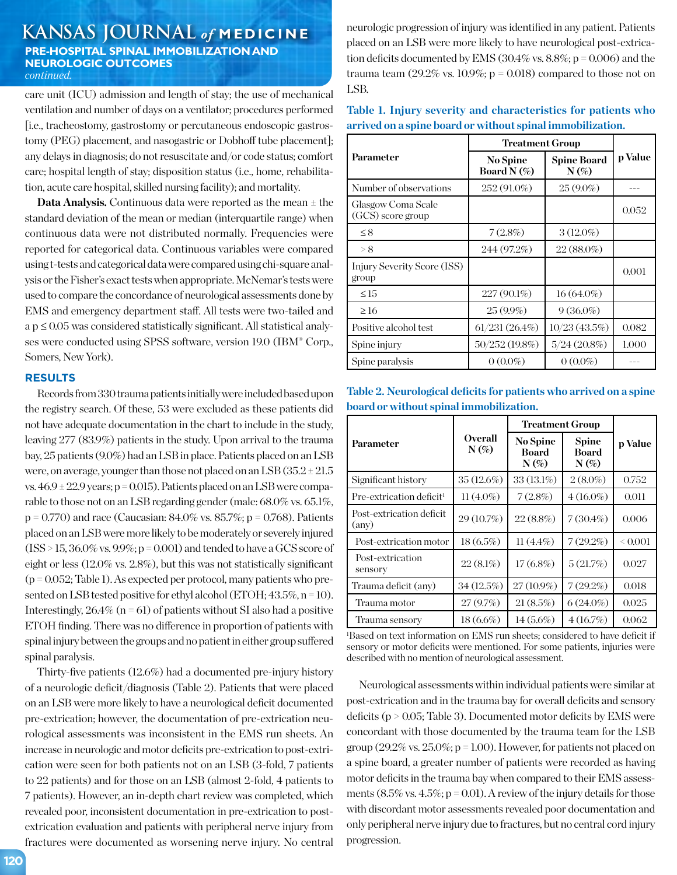## **KANSAS JOURNAL** *of* **MEDICINE PRE-HOSPITAL SPINAL IMMOBILIZATION AND NEUROLOGIC OUTCOMES** *continued.*

care unit (ICU) admission and length of stay; the use of mechanical ventilation and number of days on a ventilator; procedures performed [i.e., tracheostomy, gastrostomy or percutaneous endoscopic gastrostomy (PEG) placement, and nasogastric or Dobhoff tube placement]; any delays in diagnosis; do not resuscitate and/or code status; comfort care; hospital length of stay; disposition status (i.e., home, rehabilitation, acute care hospital, skilled nursing facility); and mortality.

**Data Analysis.** Continuous data were reported as the mean  $\pm$  the standard deviation of the mean or median (interquartile range) when continuous data were not distributed normally. Frequencies were reported for categorical data. Continuous variables were compared using t-tests and categorical data were compared using chi-square analysis or the Fisher's exact tests when appropriate. McNemar's tests were used to compare the concordance of neurological assessments done by EMS and emergency department staff. All tests were two-tailed and a p ≤ 0.05 was considered statistically significant. All statistical analyses were conducted using SPSS software, version 19.0 (IBM® Corp., Somers, New York).

#### **RESULTS**

Records from 330 trauma patients initially were included based upon the registry search. Of these, 53 were excluded as these patients did not have adequate documentation in the chart to include in the study, leaving 277 (83.9%) patients in the study. Upon arrival to the trauma bay, 25 patients (9.0%) had an LSB in place. Patients placed on an LSB were, on average, younger than those not placed on an LSB  $(35.2 \pm 21.5$ vs.  $46.9 \pm 22.9$  years; p = 0.015). Patients placed on an LSB were comparable to those not on an LSB regarding gender (male: 68.0% vs. 65.1%,  $p = 0.770$ ) and race (Caucasian: 84.0% vs. 85.7%;  $p = 0.768$ ). Patients placed on an LSB were more likely to be moderately or severely injured  $(ISS > 15, 36.0\% \text{ vs. } 9.9\%; p = 0.001)$  and tended to have a GCS score of eight or less (12.0% vs. 2.8%), but this was not statistically significant  $(p = 0.052;$  Table 1). As expected per protocol, many patients who presented on LSB tested positive for ethyl alcohol (ETOH; 43.5%, n = 10). Interestingly,  $26.4\%$  (n = 61) of patients without SI also had a positive ETOH finding. There was no difference in proportion of patients with spinal injury between the groups and no patient in either group suffered spinal paralysis.

Thirty-five patients (12.6%) had a documented pre-injury history of a neurologic deficit/diagnosis (Table 2). Patients that were placed on an LSB were more likely to have a neurological deficit documented pre-extrication; however, the documentation of pre-extrication neurological assessments was inconsistent in the EMS run sheets. An increase in neurologic and motor deficits pre-extrication to post-extrication were seen for both patients not on an LSB (3-fold, 7 patients to 22 patients) and for those on an LSB (almost 2-fold, 4 patients to 7 patients). However, an in-depth chart review was completed, which revealed poor, inconsistent documentation in pre-extrication to postextrication evaluation and patients with peripheral nerve injury from fractures were documented as worsening nerve injury. No central

neurologic progression of injury was identified in any patient. Patients placed on an LSB were more likely to have neurological post-extrication deficits documented by EMS (30.4% vs. 8.8%;  $p = 0.006$ ) and the trauma team  $(29.2\% \text{ vs. } 10.9\%; p = 0.018)$  compared to those not on LSB.

| Table 1. Injury severity and characteristics for patients who |  |
|---------------------------------------------------------------|--|
| arrived on a spine board or without spinal immobilization.    |  |

|                                         | Treatment Group            |                               |         |  |
|-----------------------------------------|----------------------------|-------------------------------|---------|--|
| Parameter                               | No Spine<br>Board N $(\%)$ | <b>Spine Board</b><br>$N(\%)$ | p Value |  |
| Number of observations                  | 252 (91.0%)                | $25(9.0\%)$                   |         |  |
| Glasgow Coma Scale<br>(GCS) score group |                            |                               | 0.052   |  |
| $\leq 8$                                | 7(2.8%)                    | $3(12.0\%)$                   |         |  |
| > 8                                     | 244 (97.2%)                | 22 (88.0%)                    |         |  |
| Injury Severity Score (ISS)<br>group    |                            |                               | 0.001   |  |
| $\leq$ 1.5                              | $227(90.1\%)$              | $16(64.0\%)$                  |         |  |
| $\geq$ 16                               | $25(9.9\%)$                | $9(36.0\%)$                   |         |  |
| Positive alcohol test                   | $61/231(26.4\%)$           | 10/23(43.5%)                  | 0.082   |  |
| Spine injury                            | 50/252 (19.8%)             | 5/24(20.8%)                   | 1.000   |  |
| Spine paralysis                         | $0(0.0\%)$                 | $0(0.0\%)$                    |         |  |

**Table 2. Neurological deficits for patients who arrived on a spine board or without spinal immobilization.**

|                                                   | <b>Overall</b><br>$N(\%)$ | <b>Treatment Group</b>       |                                         |         |
|---------------------------------------------------|---------------------------|------------------------------|-----------------------------------------|---------|
| Parameter                                         |                           | No Spine<br>Board<br>$N(\%)$ | <b>Spine</b><br><b>Board</b><br>$N(\%)$ | p Value |
| Significant history                               | $35(12.6\%)$              | $33(13.1\%)$                 | $2(8.0\%)$                              | 0.752   |
| Pre-extrication deficit <sup>1</sup>              | $11(4.0\%)$               | 7(2.8%)                      | $4(16.0\%)$                             | 0.011   |
| Post-extrication deficit<br>$\text{(\text{any})}$ | 29 (10.7%)                | $22(8.8\%)$                  | $7(30.4\%)$                             | 0.006   |
| Post-extrication motor                            | $18(6.5\%)$               | $11(4.4\%)$                  | $7(29.2\%)$                             | 0.001   |
| Post-extrication<br>sensory                       | $22(8.1\%)$               | $17(6.8\%)$                  | 5(21.7%)                                | 0.027   |
| Trauma deficit (any)                              | 34(12.5%)                 | 27 (10.9%)                   | $7(29.2\%)$                             | 0.018   |
| Trauma motor                                      | 27(9.7%)                  | 21(8.5%)                     | $6(24.0\%)$                             | 0.025   |
| Trauma sensory                                    | $18(6.6\%)$               | $14(5.6\%)$                  | 4(16.7%)                                | 0.062   |

1 Based on text information on EMS run sheets; considered to have deficit if sensory or motor deficits were mentioned. For some patients, injuries were described with no mention of neurological assessment.

Neurological assessments within individual patients were similar at post-extrication and in the trauma bay for overall deficits and sensory deficits ( $p > 0.05$ ; Table 3). Documented motor deficits by EMS were concordant with those documented by the trauma team for the LSB group (29.2% vs. 25.0%;  $p = 1.00$ ). However, for patients not placed on a spine board, a greater number of patients were recorded as having motor deficits in the trauma bay when compared to their EMS assessments  $(8.5\% \text{ vs. } 4.5\%; p = 0.01)$ . A review of the injury details for those with discordant motor assessments revealed poor documentation and only peripheral nerve injury due to fractures, but no central cord injury progression.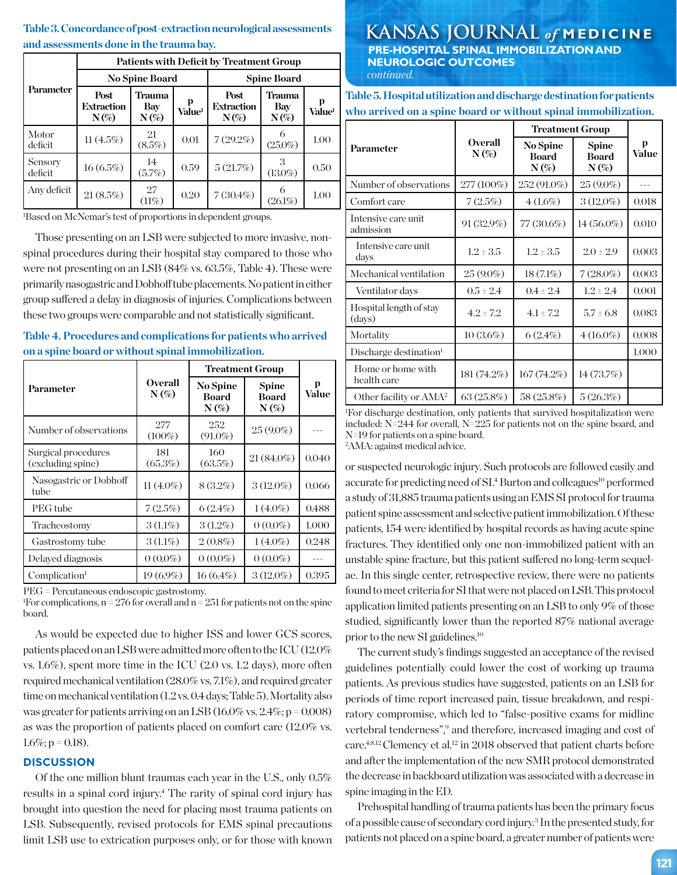## **Table 3. Concordance of post-extraction neurological assessments and assessments done in the trauma bay.**

|                    | Patients with Deficit by Treatment Group |                          |                           |                                      |                          |                           |
|--------------------|------------------------------------------|--------------------------|---------------------------|--------------------------------------|--------------------------|---------------------------|
|                    | <b>No Spine Board</b>                    |                          |                           | <b>Spine Board</b>                   |                          |                           |
| Parameter          | Post<br><b>Extraction</b><br>$N(\%)$     | Trauma<br>Bay<br>$N(\%)$ | <b>Value</b> <sup>1</sup> | Post<br><b>Extraction</b><br>$N(\%)$ | Trauma<br>Bay<br>$N(\%)$ | <b>Value</b> <sup>1</sup> |
| Motor<br>deficit   | $11(4.5\%)$                              | 21<br>(8.5%)             | 0.01                      | $7(29.2\%)$                          | $(25.0\%)$               | 1.00                      |
| Sensory<br>deficit | 16(6.5%)                                 | 14<br>(5.7%)             | 0.59                      | 5(21.7%)                             | $(13.0\%)$               | 0.50                      |
| Any deficit        | $21(8.5\%)$                              | 27<br>(11%)              | 0.20                      | $7(30.4\%)$                          | $(26.1\%)$               | 1.00                      |

1 Based on McNemar's test of proportions in dependent groups.

Those presenting on an LSB were subjected to more invasive, nonspinal procedures during their hospital stay compared to those who were not presenting on an LSB (84% vs. 63.5%, Table 4). These were primarily nasogastric and Dobhoff tube placements. No patient in either group suffered a delay in diagnosis of injuries. Complications between these two groups were comparable and not statistically significant.

**Table 4. Procedures and complications for patients who arrived on a spine board or without spinal immobilization.**

|                                          | <b>Overall</b><br>$N(\%)$ | <b>Treatment Group</b>                     |                                         |            |
|------------------------------------------|---------------------------|--------------------------------------------|-----------------------------------------|------------|
| Parameter                                |                           | <b>No Spine</b><br><b>Board</b><br>$N(\%)$ | <b>Spine</b><br><b>Board</b><br>$N(\%)$ | p<br>Value |
| Number of observations                   | 277<br>$(100\%)$          | 252<br>$(91.0\%)$                          | $25(9.0\%)$                             |            |
| Surgical procedures<br>(excluding spine) | 181<br>(65.3%)            | 160<br>(63.5%)                             | $21(84.0\%)$                            | 0.040      |
| Nasogastric or Dobhoff<br>tube           | $11(4.0\%)$               | $8(3.2\%)$                                 | $3(12.0\%)$                             | 0.066      |
| PEG tube                                 | 7(2.5%)                   | $6(2.4\%)$                                 | $1(4.0\%)$                              | 0.488      |
| Tracheostomy                             | $3(1.1\%)$                | $3(1.2\%)$                                 | $0(0.0\%)$                              | 1.000      |
| Gastrostomy tube                         | $3(1.1\%)$                | $2(0.8\%)$                                 | $1(4.0\%)$                              | 0.248      |
| Delayed diagnosis                        | $0(0.0\%)$                | $0(0.0\%)$                                 | $0(0.0\%)$                              |            |
| Complication <sup>1</sup>                | 19 (6.9%)                 | $16(6.4\%)$                                | $3(12.0\%)$                             | 0.395      |

PEG = Percutaneous endoscopic gastrostomy.

<sup>1</sup>For complications,  $n = 276$  for overall and  $n = 251$  for patients not on the spine board.

As would be expected due to higher ISS and lower GCS scores, patients placed on an LSB were admitted more often to the ICU (12.0% vs. 1.6%), spent more time in the ICU (2.0 vs. 1.2 days), more often required mechanical ventilation (28.0% vs. 7.1%), and required greater time on mechanical ventilation (1.2 vs. 0.4 days; Table 5). Mortality also was greater for patients arriving on an LSB  $(16.0\% \text{ vs. } 2.4\%; p = 0.008)$ as was the proportion of patients placed on comfort care (12.0% vs.  $1.6\%$ ; p = 0.18).

#### **DISCUSSION**

Of the one million blunt traumas each year in the U.S., only 0.5% results in a spinal cord injury.<sup>4</sup> The rarity of spinal cord injury has brought into question the need for placing most trauma patients on LSB. Subsequently, revised protocols for EMS spinal precautions limit LSB use to extrication purposes only, or for those with known

## **KANSAS JOURNAL** *of* **MEDICINE PRE-HOSPITAL SPINAL IMMOBILIZATION AND NEUROLOGIC OUTCOMES**  *continued.*

**Table 5. Hospital utilization and discharge destination for patients who arrived on a spine board or without spinal immobilization.**

|                                    |                           | <b>Treatment Group</b>              |                                         |            |
|------------------------------------|---------------------------|-------------------------------------|-----------------------------------------|------------|
| Parameter                          | <b>Overall</b><br>$N(\%)$ | No Spine<br><b>Board</b><br>$N(\%)$ | <b>Spine</b><br><b>Board</b><br>$N(\%)$ | р<br>Value |
| Number of observations             | 277 (100%)                | 252 (91.0%)                         | 25 (9.0%)                               |            |
| Comfort care                       | 7(2.5%)                   | $4(1.6\%)$                          | $3(12.0\%)$                             | 0.018      |
| Intensive care unit<br>admission   | $91(32.9\%)$              | 77 (30.6%)                          | $14(56.0\%)$                            | 0.010      |
| Intensive care unit<br>days        | $1.2 \pm 3.5$             | $1.2 \pm 3.5$                       | $2.0 \pm 2.9$                           | 0.003      |
| Mechanical ventilation             | 25 (9.0%)                 | $18(7.1\%)$                         | $7(28.0\%)$                             | 0.003      |
| Ventilator days                    | $0.5 \pm 2.4$             | $0.4 \pm 2.4$                       | $1.2 \pm 2.4$                           | 0.001      |
| Hospital length of stay<br>(days)  | $4.2 \pm 7.2$             | $4.1 \pm 7.2$                       | $5.7 \pm 6.8$                           | 0.083      |
| Mortality                          | $10(3.6\%)$               | $6(2.4\%)$                          | $4(16.0\%)$                             | 0.008      |
| Discharge destination <sup>1</sup> |                           |                                     |                                         | 1.000      |
| Home or home with<br>health care   | 181 (74.2%)               | 167 (74.2%)                         | 14(73.7%)                               |            |
| Other facility or AMA <sup>2</sup> | 63(25.8%)                 | 58 (25.8%)                          | 5(26.3%)                                |            |

1 For discharge destination, only patients that survived hospitalization were included: N=244 for overall, N=225 for patients not on the spine board, and N=19 for patients on a spine board. 2 AMA: against medical advice.

or suspected neurologic injury. Such protocols are followed easily and accurate for predicting need of SI.<sup>4</sup> Burton and colleagues<sup>10</sup> performed a study of 31,885 trauma patients using an EMS SI protocol for trauma patient spine assessment and selective patient immobilization. Of these patients, 154 were identified by hospital records as having acute spine fractures. They identified only one non-immobilized patient with an unstable spine fracture, but this patient suffered no long-term sequelae. In this single center, retrospective review, there were no patients found to meet criteria for SI that were not placed on LSB. This protocol application limited patients presenting on an LSB to only 9% of those studied, significantly lower than the reported 87% national average prior to the new SI guidelines.10

The current study's findings suggested an acceptance of the revised guidelines potentially could lower the cost of working up trauma patients. As previous studies have suggested, patients on an LSB for periods of time report increased pain, tissue breakdown, and respiratory compromise, which led to "false-positive exams for midline vertebral tenderness",<sup>9</sup> and therefore, increased imaging and cost of care.<sup>4,8,12</sup> Clemency et al.<sup>12</sup> in 2018 observed that patient charts before and after the implementation of the new SMR protocol demonstrated the decrease in backboard utilization was associated with a decrease in spine imaging in the ED.

Prehospital handling of trauma patients has been the primary focus of a possible cause of secondary cord injury.3 In the presented study, for patients not placed on a spine board, a greater number of patients were